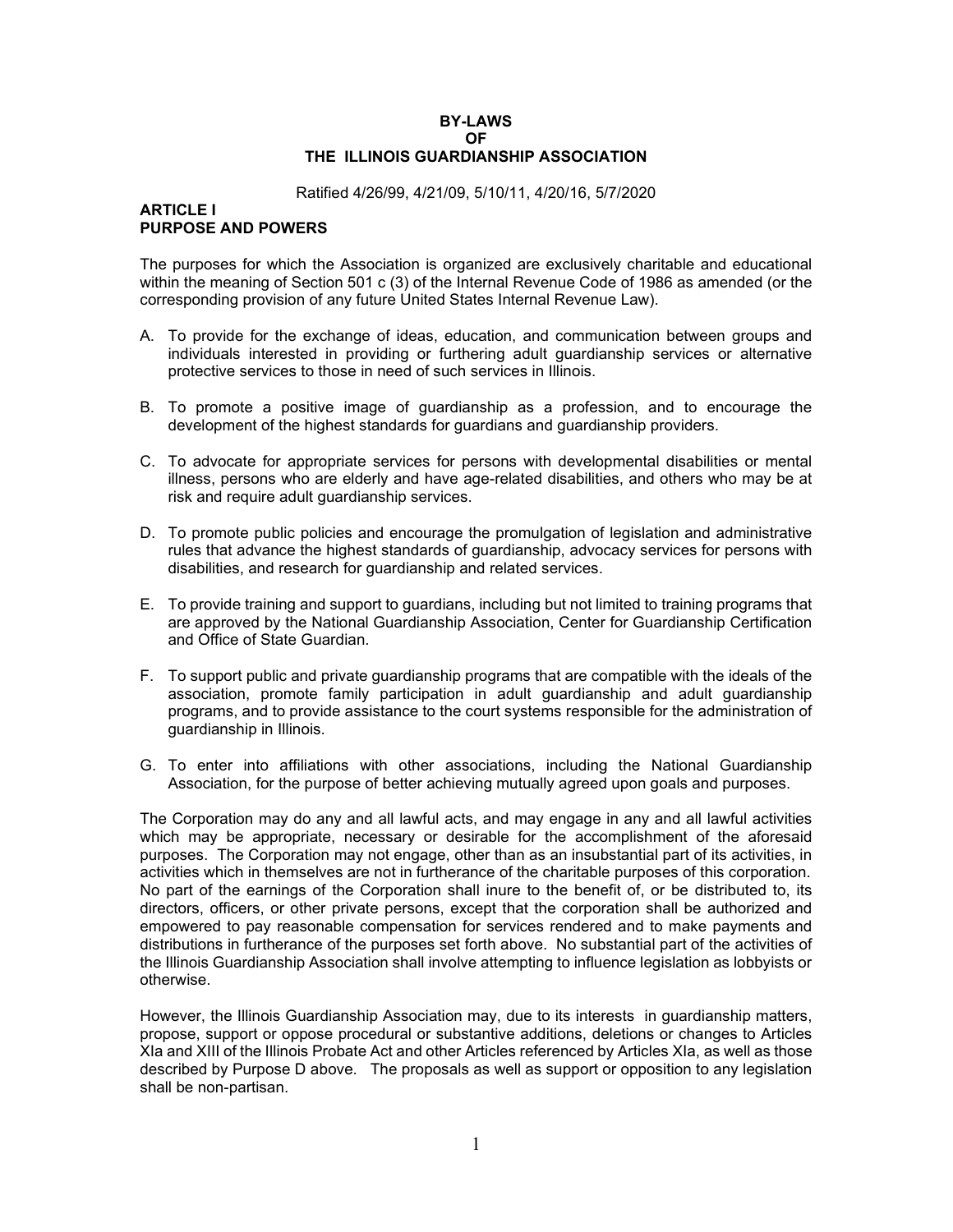## **BY-LAWS OF THE ILLINOIS GUARDIANSHIP ASSOCIATION**

#### Ratified 4/26/99, 4/21/09, 5/10/11, 4/20/16, 5/7/2020

#### **ARTICLE I PURPOSE AND POWERS**

The purposes for which the Association is organized are exclusively charitable and educational within the meaning of Section 501 c (3) of the Internal Revenue Code of 1986 as amended (or the corresponding provision of any future United States Internal Revenue Law).

- A. To provide for the exchange of ideas, education, and communication between groups and individuals interested in providing or furthering adult guardianship services or alternative protective services to those in need of such services in Illinois.
- B. To promote a positive image of guardianship as a profession, and to encourage the development of the highest standards for guardians and guardianship providers.
- C. To advocate for appropriate services for persons with developmental disabilities or mental illness, persons who are elderly and have age-related disabilities, and others who may be at risk and require adult guardianship services.
- D. To promote public policies and encourage the promulgation of legislation and administrative rules that advance the highest standards of guardianship, advocacy services for persons with disabilities, and research for guardianship and related services.
- E. To provide training and support to guardians, including but not limited to training programs that are approved by the National Guardianship Association, Center for Guardianship Certification and Office of State Guardian.
- F. To support public and private guardianship programs that are compatible with the ideals of the association, promote family participation in adult guardianship and adult guardianship programs, and to provide assistance to the court systems responsible for the administration of guardianship in Illinois.
- G. To enter into affiliations with other associations, including the National Guardianship Association, for the purpose of better achieving mutually agreed upon goals and purposes.

The Corporation may do any and all lawful acts, and may engage in any and all lawful activities which may be appropriate, necessary or desirable for the accomplishment of the aforesaid purposes. The Corporation may not engage, other than as an insubstantial part of its activities, in activities which in themselves are not in furtherance of the charitable purposes of this corporation. No part of the earnings of the Corporation shall inure to the benefit of, or be distributed to, its directors, officers, or other private persons, except that the corporation shall be authorized and empowered to pay reasonable compensation for services rendered and to make payments and distributions in furtherance of the purposes set forth above. No substantial part of the activities of the Illinois Guardianship Association shall involve attempting to influence legislation as lobbyists or otherwise.

However, the Illinois Guardianship Association may, due to its interests in guardianship matters, propose, support or oppose procedural or substantive additions, deletions or changes to Articles XIa and XIII of the Illinois Probate Act and other Articles referenced by Articles XIa, as well as those described by Purpose D above. The proposals as well as support or opposition to any legislation shall be non-partisan.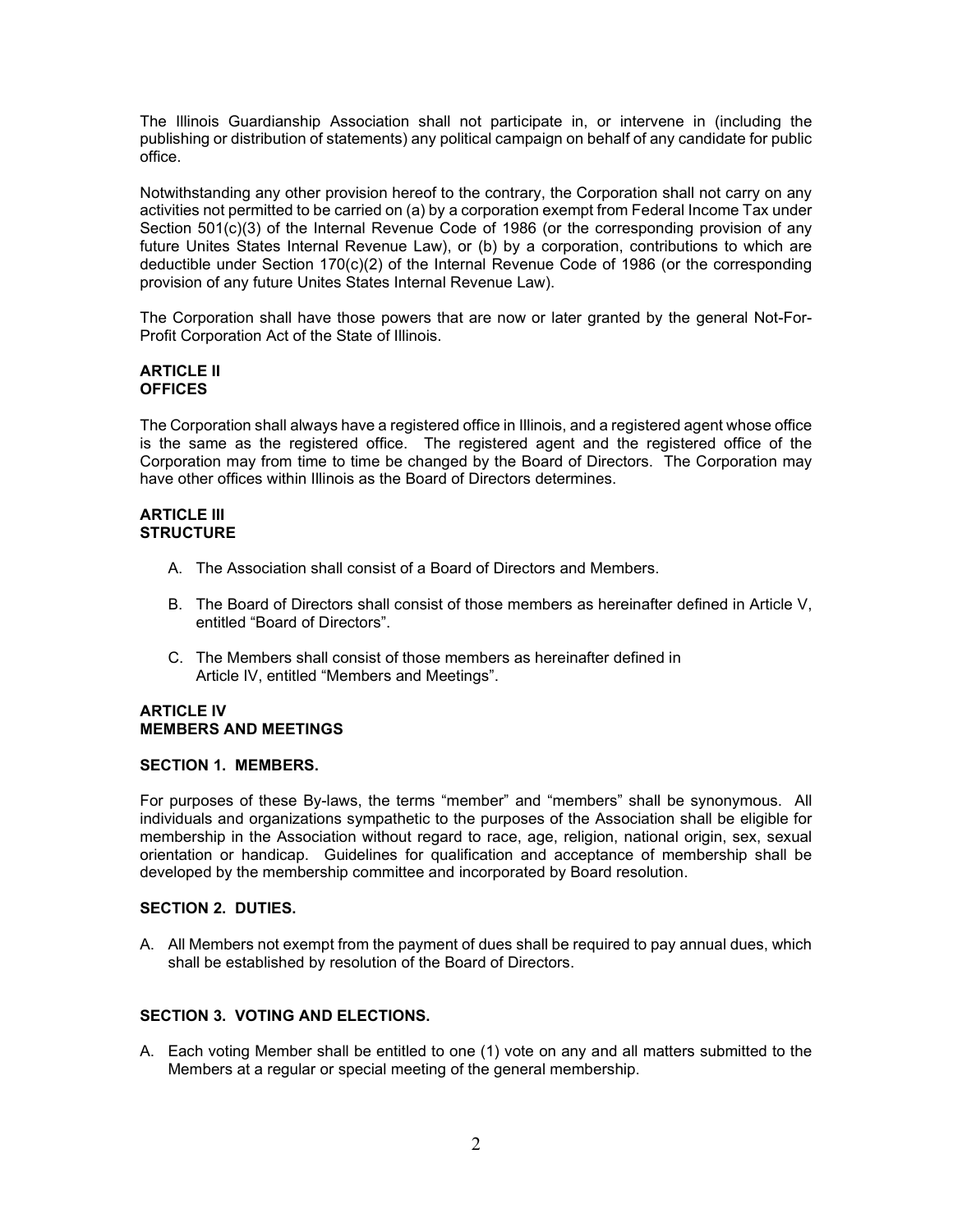The Illinois Guardianship Association shall not participate in, or intervene in (including the publishing or distribution of statements) any political campaign on behalf of any candidate for public office.

Notwithstanding any other provision hereof to the contrary, the Corporation shall not carry on any activities not permitted to be carried on (a) by a corporation exempt from Federal Income Tax under Section 501(c)(3) of the Internal Revenue Code of 1986 (or the corresponding provision of any future Unites States Internal Revenue Law), or (b) by a corporation, contributions to which are deductible under Section 170(c)(2) of the Internal Revenue Code of 1986 (or the corresponding provision of any future Unites States Internal Revenue Law).

The Corporation shall have those powers that are now or later granted by the general Not-For-Profit Corporation Act of the State of Illinois.

### **ARTICLE II OFFICES**

The Corporation shall always have a registered office in Illinois, and a registered agent whose office is the same as the registered office. The registered agent and the registered office of the Corporation may from time to time be changed by the Board of Directors. The Corporation may have other offices within Illinois as the Board of Directors determines.

### **ARTICLE III STRUCTURE**

- A. The Association shall consist of a Board of Directors and Members.
- B. The Board of Directors shall consist of those members as hereinafter defined in Article V, entitled "Board of Directors".
- C. The Members shall consist of those members as hereinafter defined in Article IV, entitled "Members and Meetings".

#### **ARTICLE IV MEMBERS AND MEETINGS**

## **SECTION 1. MEMBERS.**

For purposes of these By-laws, the terms "member" and "members" shall be synonymous. All individuals and organizations sympathetic to the purposes of the Association shall be eligible for membership in the Association without regard to race, age, religion, national origin, sex, sexual orientation or handicap. Guidelines for qualification and acceptance of membership shall be developed by the membership committee and incorporated by Board resolution.

## **SECTION 2. DUTIES.**

A. All Members not exempt from the payment of dues shall be required to pay annual dues, which shall be established by resolution of the Board of Directors.

## **SECTION 3. VOTING AND ELECTIONS.**

A. Each voting Member shall be entitled to one (1) vote on any and all matters submitted to the Members at a regular or special meeting of the general membership.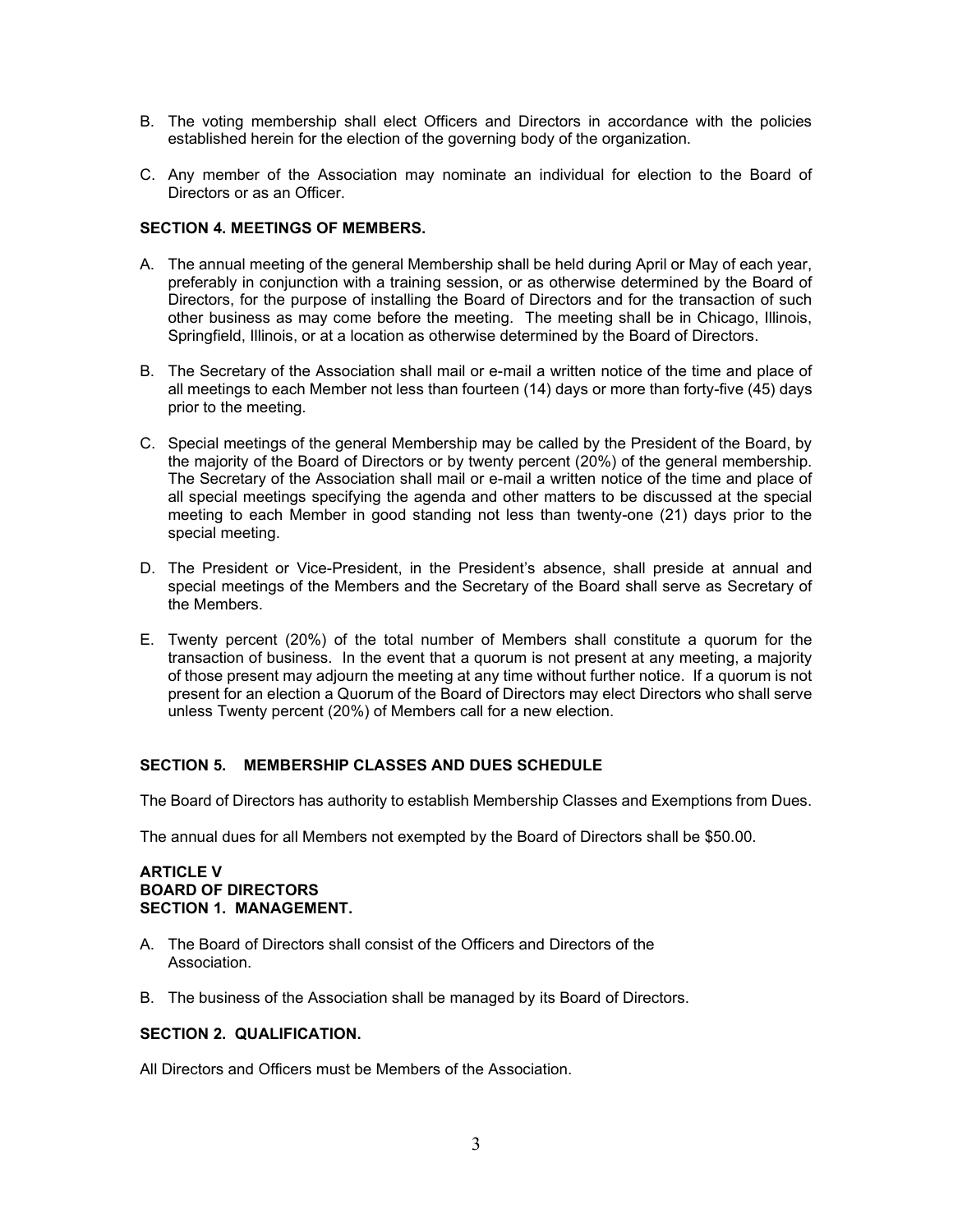- B. The voting membership shall elect Officers and Directors in accordance with the policies established herein for the election of the governing body of the organization.
- C. Any member of the Association may nominate an individual for election to the Board of Directors or as an Officer.

# **SECTION 4. MEETINGS OF MEMBERS.**

- A. The annual meeting of the general Membership shall be held during April or May of each year, preferably in conjunction with a training session, or as otherwise determined by the Board of Directors, for the purpose of installing the Board of Directors and for the transaction of such other business as may come before the meeting. The meeting shall be in Chicago, Illinois, Springfield, Illinois, or at a location as otherwise determined by the Board of Directors.
- B. The Secretary of the Association shall mail or e-mail a written notice of the time and place of all meetings to each Member not less than fourteen (14) days or more than forty-five (45) days prior to the meeting.
- C. Special meetings of the general Membership may be called by the President of the Board, by the majority of the Board of Directors or by twenty percent (20%) of the general membership. The Secretary of the Association shall mail or e-mail a written notice of the time and place of all special meetings specifying the agenda and other matters to be discussed at the special meeting to each Member in good standing not less than twenty-one (21) days prior to the special meeting.
- D. The President or Vice-President, in the President's absence, shall preside at annual and special meetings of the Members and the Secretary of the Board shall serve as Secretary of the Members.
- E. Twenty percent (20%) of the total number of Members shall constitute a quorum for the transaction of business. In the event that a quorum is not present at any meeting, a majority of those present may adjourn the meeting at any time without further notice. If a quorum is not present for an election a Quorum of the Board of Directors may elect Directors who shall serve unless Twenty percent (20%) of Members call for a new election.

## **SECTION 5. MEMBERSHIP CLASSES AND DUES SCHEDULE**

The Board of Directors has authority to establish Membership Classes and Exemptions from Dues.

The annual dues for all Members not exempted by the Board of Directors shall be \$50.00.

## **ARTICLE V BOARD OF DIRECTORS SECTION 1. MANAGEMENT.**

- A. The Board of Directors shall consist of the Officers and Directors of the Association.
- B. The business of the Association shall be managed by its Board of Directors.

## **SECTION 2. QUALIFICATION.**

All Directors and Officers must be Members of the Association.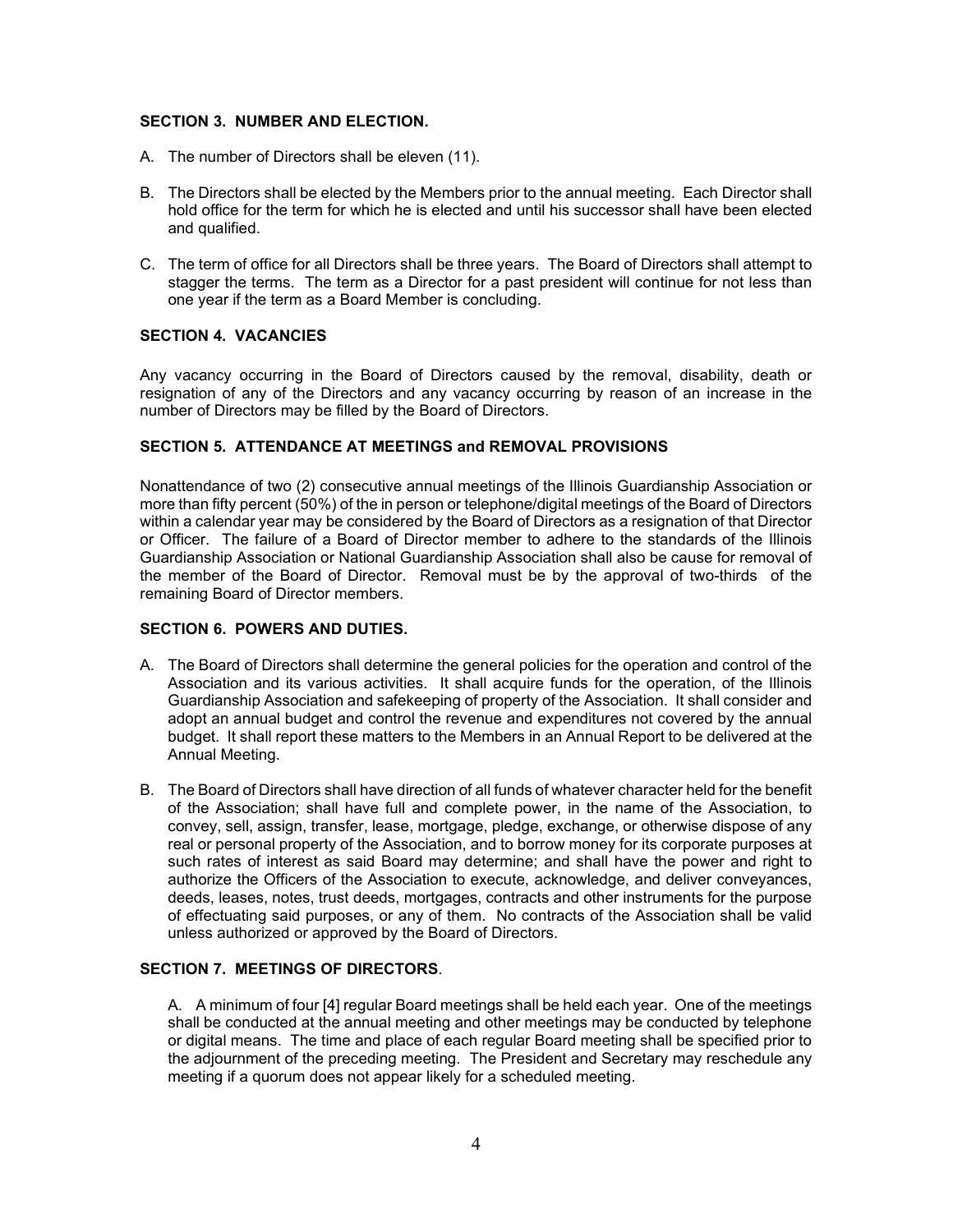# **SECTION 3. NUMBER AND ELECTION.**

- A. The number of Directors shall be eleven (11).
- B. The Directors shall be elected by the Members prior to the annual meeting. Each Director shall hold office for the term for which he is elected and until his successor shall have been elected and qualified.
- C. The term of office for all Directors shall be three years. The Board of Directors shall attempt to stagger the terms. The term as a Director for a past president will continue for not less than one year if the term as a Board Member is concluding.

# **SECTION 4. VACANCIES**

Any vacancy occurring in the Board of Directors caused by the removal, disability, death or resignation of any of the Directors and any vacancy occurring by reason of an increase in the number of Directors may be filled by the Board of Directors.

# **SECTION 5. ATTENDANCE AT MEETINGS and REMOVAL PROVISIONS**

Nonattendance of two (2) consecutive annual meetings of the Illinois Guardianship Association or more than fifty percent (50%) of the in person or telephone/digital meetings of the Board of Directors within a calendar year may be considered by the Board of Directors as a resignation of that Director or Officer. The failure of a Board of Director member to adhere to the standards of the Illinois Guardianship Association or National Guardianship Association shall also be cause for removal of the member of the Board of Director. Removal must be by the approval of two-thirds of the remaining Board of Director members.

## **SECTION 6. POWERS AND DUTIES.**

- A. The Board of Directors shall determine the general policies for the operation and control of the Association and its various activities. It shall acquire funds for the operation, of the Illinois Guardianship Association and safekeeping of property of the Association. It shall consider and adopt an annual budget and control the revenue and expenditures not covered by the annual budget. It shall report these matters to the Members in an Annual Report to be delivered at the Annual Meeting.
- B. The Board of Directors shall have direction of all funds of whatever character held for the benefit of the Association; shall have full and complete power, in the name of the Association, to convey, sell, assign, transfer, lease, mortgage, pledge, exchange, or otherwise dispose of any real or personal property of the Association, and to borrow money for its corporate purposes at such rates of interest as said Board may determine; and shall have the power and right to authorize the Officers of the Association to execute, acknowledge, and deliver conveyances, deeds, leases, notes, trust deeds, mortgages, contracts and other instruments for the purpose of effectuating said purposes, or any of them. No contracts of the Association shall be valid unless authorized or approved by the Board of Directors.

# **SECTION 7. MEETINGS OF DIRECTORS**.

A. A minimum of four [4] regular Board meetings shall be held each year. One of the meetings shall be conducted at the annual meeting and other meetings may be conducted by telephone or digital means. The time and place of each regular Board meeting shall be specified prior to the adjournment of the preceding meeting. The President and Secretary may reschedule any meeting if a quorum does not appear likely for a scheduled meeting.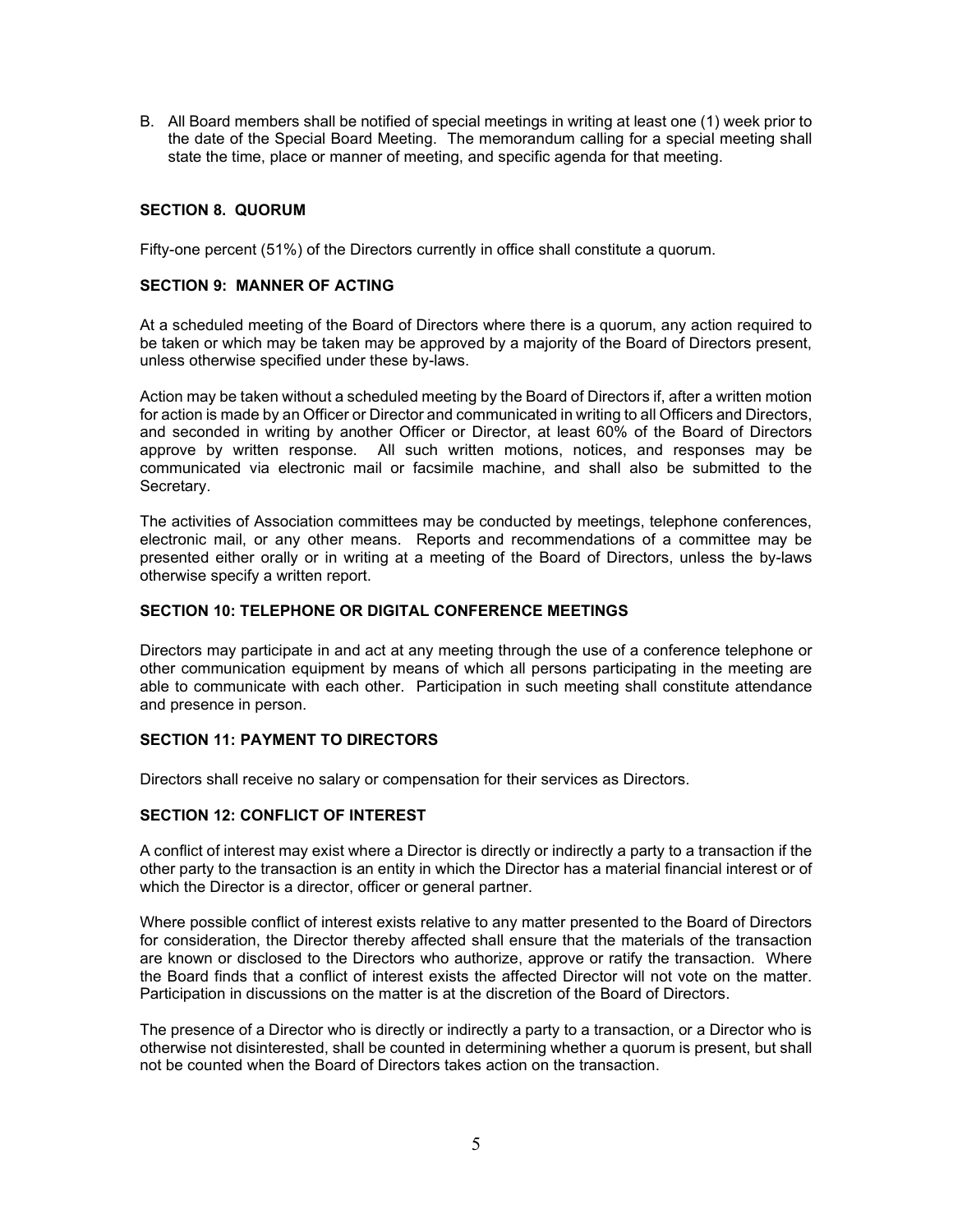B. All Board members shall be notified of special meetings in writing at least one (1) week prior to the date of the Special Board Meeting. The memorandum calling for a special meeting shall state the time, place or manner of meeting, and specific agenda for that meeting.

# **SECTION 8. QUORUM**

Fifty-one percent (51%) of the Directors currently in office shall constitute a quorum.

## **SECTION 9: MANNER OF ACTING**

At a scheduled meeting of the Board of Directors where there is a quorum, any action required to be taken or which may be taken may be approved by a majority of the Board of Directors present, unless otherwise specified under these by-laws.

Action may be taken without a scheduled meeting by the Board of Directors if, after a written motion for action is made by an Officer or Director and communicated in writing to all Officers and Directors, and seconded in writing by another Officer or Director, at least 60% of the Board of Directors approve by written response. All such written motions, notices, and responses may be communicated via electronic mail or facsimile machine, and shall also be submitted to the Secretary.

The activities of Association committees may be conducted by meetings, telephone conferences, electronic mail, or any other means. Reports and recommendations of a committee may be presented either orally or in writing at a meeting of the Board of Directors, unless the by-laws otherwise specify a written report.

## **SECTION 10: TELEPHONE OR DIGITAL CONFERENCE MEETINGS**

Directors may participate in and act at any meeting through the use of a conference telephone or other communication equipment by means of which all persons participating in the meeting are able to communicate with each other. Participation in such meeting shall constitute attendance and presence in person.

## **SECTION 11: PAYMENT TO DIRECTORS**

Directors shall receive no salary or compensation for their services as Directors.

### **SECTION 12: CONFLICT OF INTEREST**

A conflict of interest may exist where a Director is directly or indirectly a party to a transaction if the other party to the transaction is an entity in which the Director has a material financial interest or of which the Director is a director, officer or general partner.

Where possible conflict of interest exists relative to any matter presented to the Board of Directors for consideration, the Director thereby affected shall ensure that the materials of the transaction are known or disclosed to the Directors who authorize, approve or ratify the transaction. Where the Board finds that a conflict of interest exists the affected Director will not vote on the matter. Participation in discussions on the matter is at the discretion of the Board of Directors.

The presence of a Director who is directly or indirectly a party to a transaction, or a Director who is otherwise not disinterested, shall be counted in determining whether a quorum is present, but shall not be counted when the Board of Directors takes action on the transaction.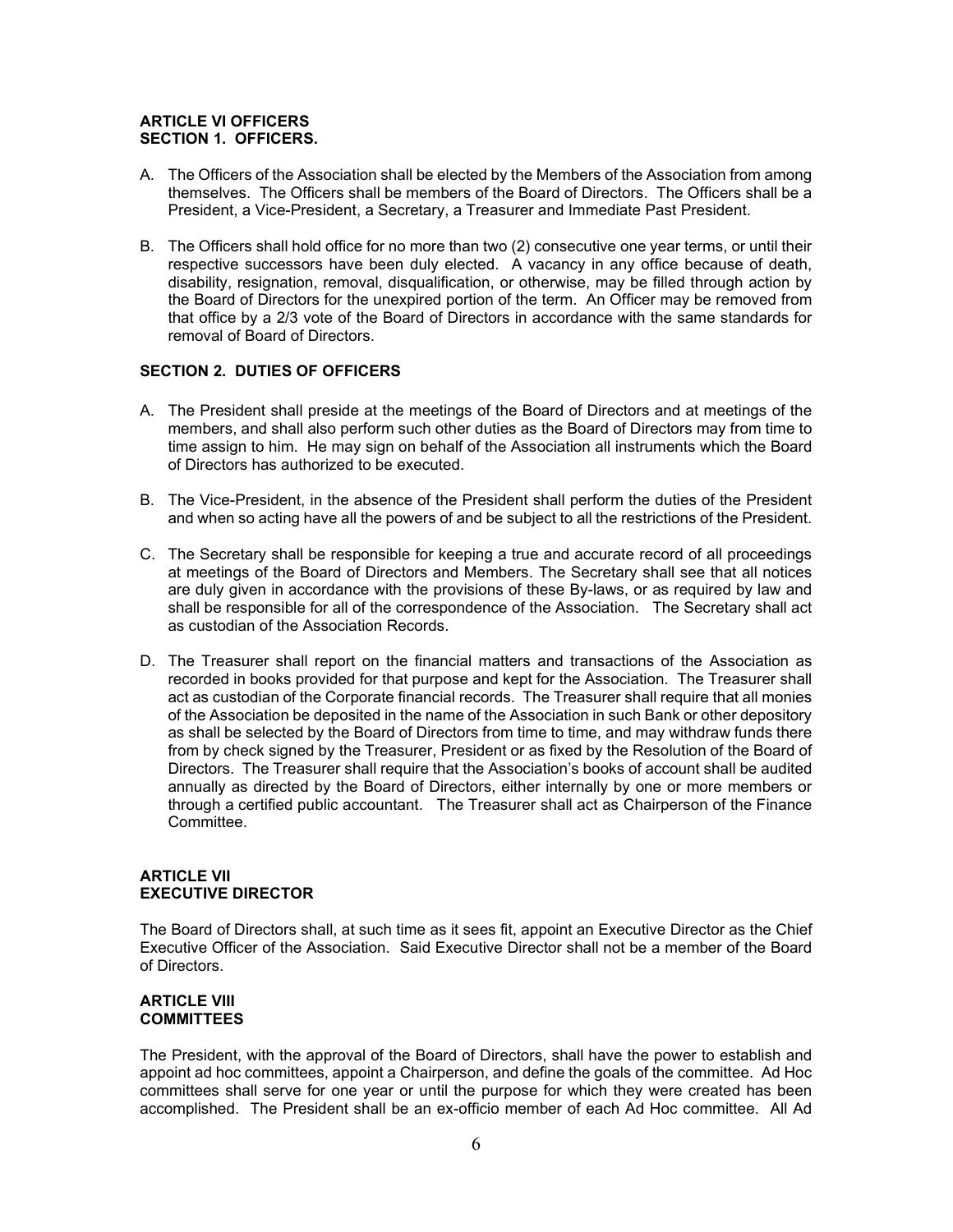# **ARTICLE VI OFFICERS SECTION 1. OFFICERS.**

- A. The Officers of the Association shall be elected by the Members of the Association from among themselves. The Officers shall be members of the Board of Directors. The Officers shall be a President, a Vice-President, a Secretary, a Treasurer and Immediate Past President.
- B. The Officers shall hold office for no more than two (2) consecutive one year terms, or until their respective successors have been duly elected. A vacancy in any office because of death, disability, resignation, removal, disqualification, or otherwise, may be filled through action by the Board of Directors for the unexpired portion of the term. An Officer may be removed from that office by a 2/3 vote of the Board of Directors in accordance with the same standards for removal of Board of Directors.

# **SECTION 2. DUTIES OF OFFICERS**

- A. The President shall preside at the meetings of the Board of Directors and at meetings of the members, and shall also perform such other duties as the Board of Directors may from time to time assign to him. He may sign on behalf of the Association all instruments which the Board of Directors has authorized to be executed.
- B. The Vice-President, in the absence of the President shall perform the duties of the President and when so acting have all the powers of and be subject to all the restrictions of the President.
- C. The Secretary shall be responsible for keeping a true and accurate record of all proceedings at meetings of the Board of Directors and Members. The Secretary shall see that all notices are duly given in accordance with the provisions of these By-laws, or as required by law and shall be responsible for all of the correspondence of the Association. The Secretary shall act as custodian of the Association Records.
- D. The Treasurer shall report on the financial matters and transactions of the Association as recorded in books provided for that purpose and kept for the Association. The Treasurer shall act as custodian of the Corporate financial records. The Treasurer shall require that all monies of the Association be deposited in the name of the Association in such Bank or other depository as shall be selected by the Board of Directors from time to time, and may withdraw funds there from by check signed by the Treasurer, President or as fixed by the Resolution of the Board of Directors. The Treasurer shall require that the Association's books of account shall be audited annually as directed by the Board of Directors, either internally by one or more members or through a certified public accountant. The Treasurer shall act as Chairperson of the Finance Committee.

# **ARTICLE VII EXECUTIVE DIRECTOR**

The Board of Directors shall, at such time as it sees fit, appoint an Executive Director as the Chief Executive Officer of the Association. Said Executive Director shall not be a member of the Board of Directors.

## **ARTICLE VIII COMMITTEES**

The President, with the approval of the Board of Directors, shall have the power to establish and appoint ad hoc committees, appoint a Chairperson, and define the goals of the committee. Ad Hoc committees shall serve for one year or until the purpose for which they were created has been accomplished. The President shall be an ex-officio member of each Ad Hoc committee. All Ad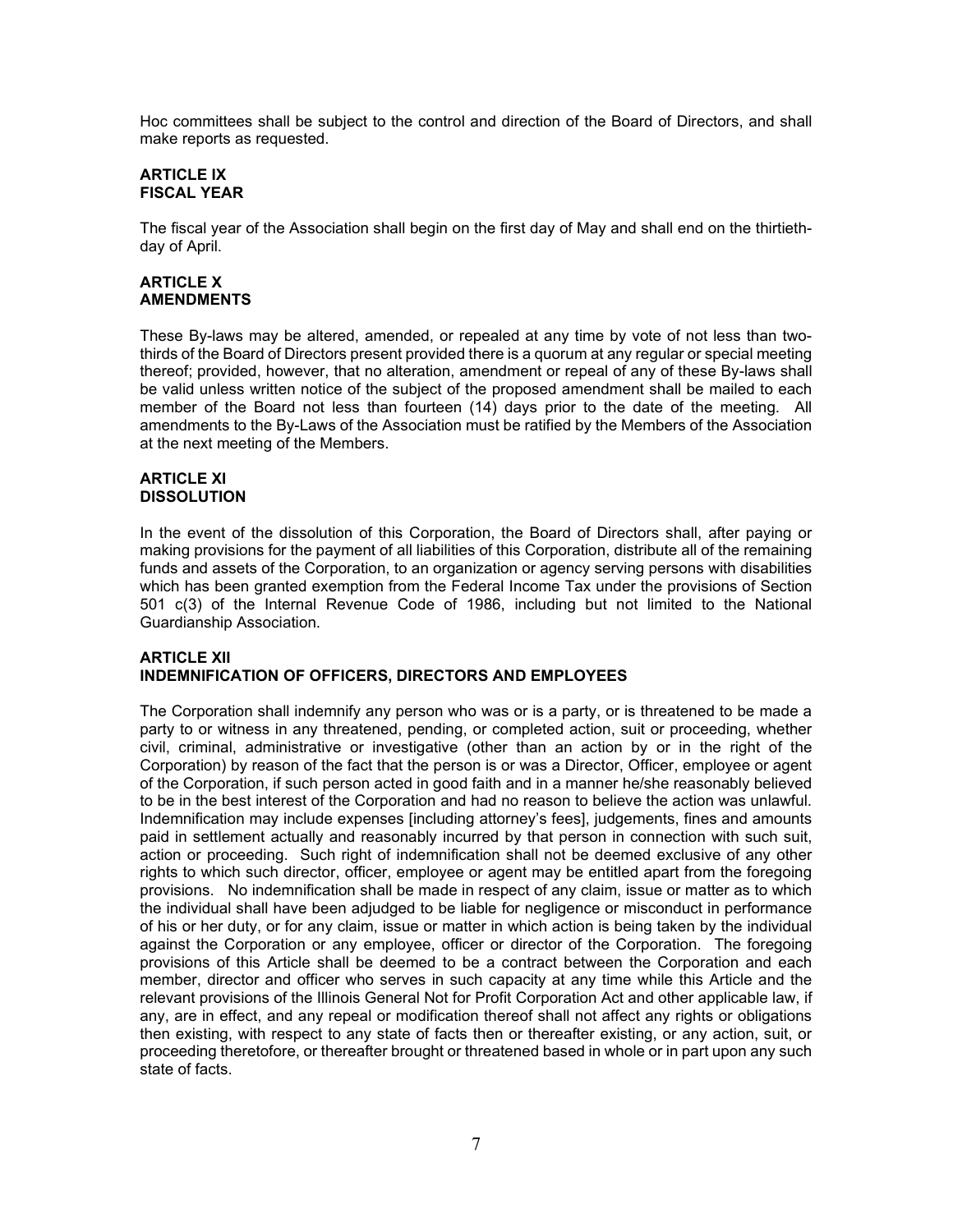Hoc committees shall be subject to the control and direction of the Board of Directors, and shall make reports as requested.

# **ARTICLE IX FISCAL YEAR**

The fiscal year of the Association shall begin on the first day of May and shall end on the thirtiethday of April.

# **ARTICLE X AMENDMENTS**

These By-laws may be altered, amended, or repealed at any time by vote of not less than twothirds of the Board of Directors present provided there is a quorum at any regular or special meeting thereof; provided, however, that no alteration, amendment or repeal of any of these By-laws shall be valid unless written notice of the subject of the proposed amendment shall be mailed to each member of the Board not less than fourteen (14) days prior to the date of the meeting. All amendments to the By-Laws of the Association must be ratified by the Members of the Association at the next meeting of the Members.

# **ARTICLE XI DISSOLUTION**

In the event of the dissolution of this Corporation, the Board of Directors shall, after paying or making provisions for the payment of all liabilities of this Corporation, distribute all of the remaining funds and assets of the Corporation, to an organization or agency serving persons with disabilities which has been granted exemption from the Federal Income Tax under the provisions of Section 501 c(3) of the Internal Revenue Code of 1986, including but not limited to the National Guardianship Association.

# **ARTICLE XII INDEMNIFICATION OF OFFICERS, DIRECTORS AND EMPLOYEES**

The Corporation shall indemnify any person who was or is a party, or is threatened to be made a party to or witness in any threatened, pending, or completed action, suit or proceeding, whether civil, criminal, administrative or investigative (other than an action by or in the right of the Corporation) by reason of the fact that the person is or was a Director, Officer, employee or agent of the Corporation, if such person acted in good faith and in a manner he/she reasonably believed to be in the best interest of the Corporation and had no reason to believe the action was unlawful. Indemnification may include expenses [including attorney's fees], judgements, fines and amounts paid in settlement actually and reasonably incurred by that person in connection with such suit, action or proceeding. Such right of indemnification shall not be deemed exclusive of any other rights to which such director, officer, employee or agent may be entitled apart from the foregoing provisions. No indemnification shall be made in respect of any claim, issue or matter as to which the individual shall have been adjudged to be liable for negligence or misconduct in performance of his or her duty, or for any claim, issue or matter in which action is being taken by the individual against the Corporation or any employee, officer or director of the Corporation. The foregoing provisions of this Article shall be deemed to be a contract between the Corporation and each member, director and officer who serves in such capacity at any time while this Article and the relevant provisions of the Illinois General Not for Profit Corporation Act and other applicable law, if any, are in effect, and any repeal or modification thereof shall not affect any rights or obligations then existing, with respect to any state of facts then or thereafter existing, or any action, suit, or proceeding theretofore, or thereafter brought or threatened based in whole or in part upon any such state of facts.